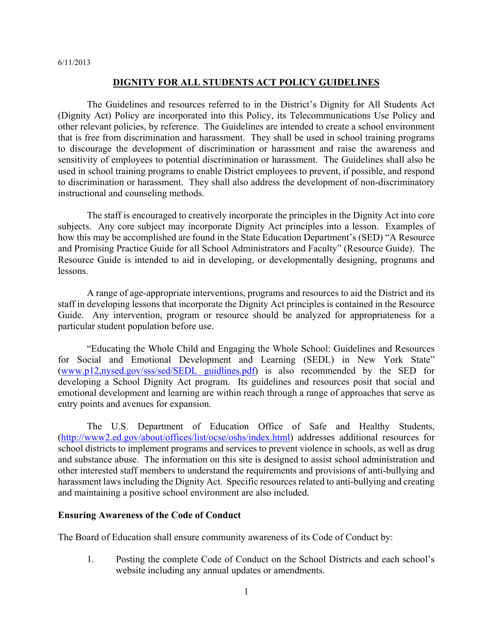## **DIGNITY FOR ALL STUDENTS ACT POLICY GUIDELINES**

 The Guidelines and resources referred to in the District's Dignity for All Students Act (Dignity Act) Policy are incorporated into this Policy, its Telecommunications Use Policy and other relevant policies, by reference. The Guidelines are intended to create a school environment that is free from discrimination and harassment. They shall be used in school training programs to discourage the development of discrimination or harassment and raise the awareness and sensitivity of employees to potential discrimination or harassment. The Guidelines shall also be used in school training programs to enable District employees to prevent, if possible, and respond to discrimination or harassment. They shall also address the development of non-discriminatory instructional and counseling methods.

 The staff is encouraged to creatively incorporate the principles in the Dignity Act into core subjects. Any core subject may incorporate Dignity Act principles into a lesson. Examples of how this may be accomplished are found in the State Education Department's (SED) "A Resource and Promising Practice Guide for all School Administrators and Faculty" (Resource Guide). The Resource Guide is intended to aid in developing, or developmentally designing, programs and lessons.

 A range of age-appropriate interventions, programs and resources to aid the District and its staff in developing lessons that incorporate the Dignity Act principles is contained in the Resource Guide. Any intervention, program or resource should be analyzed for appropriateness for a particular student population before use.

 "Educating the Whole Child and Engaging the Whole School: Guidelines and Resources for Social and Emotional Development and Learning (SEDL) in New York State" (www.p12,nysed.gov/sss/sed/SEDL guidlines.pdf) is also recommended by the SED for developing a School Dignity Act program. Its guidelines and resources posit that social and emotional development and learning are within reach through a range of approaches that serve as entry points and avenues for expansion.

 The U.S. Department of Education Office of Safe and Healthy Students, (http://www2.ed.gov/about/offices/list/ocse/oshs/index.html) addresses additional resources for school districts to implement programs and services to prevent violence in schools, as well as drug and substance abuse. The information on this site is designed to assist school administration and other interested staff members to understand the requirements and provisions of anti-bullying and harassment laws including the Dignity Act. Specific resources related to anti-bullying and creating and maintaining a positive school environment are also included.

## **Ensuring Awareness of the Code of Conduct**

The Board of Education shall ensure community awareness of its Code of Conduct by:

1. Posting the complete Code of Conduct on the School Districts and each school's website including any annual updates or amendments.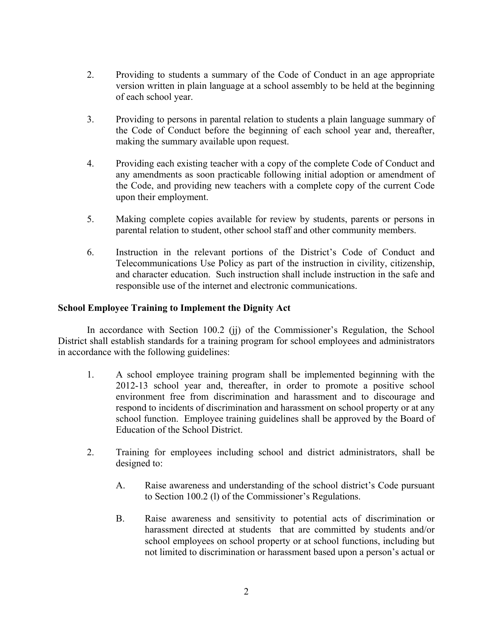- 2. Providing to students a summary of the Code of Conduct in an age appropriate version written in plain language at a school assembly to be held at the beginning of each school year.
- 3. Providing to persons in parental relation to students a plain language summary of the Code of Conduct before the beginning of each school year and, thereafter, making the summary available upon request.
- 4. Providing each existing teacher with a copy of the complete Code of Conduct and any amendments as soon practicable following initial adoption or amendment of the Code, and providing new teachers with a complete copy of the current Code upon their employment.
- 5. Making complete copies available for review by students, parents or persons in parental relation to student, other school staff and other community members.
- 6. Instruction in the relevant portions of the District's Code of Conduct and Telecommunications Use Policy as part of the instruction in civility, citizenship, and character education. Such instruction shall include instruction in the safe and responsible use of the internet and electronic communications.

# **School Employee Training to Implement the Dignity Act**

In accordance with Section 100.2 (ji) of the Commissioner's Regulation, the School District shall establish standards for a training program for school employees and administrators in accordance with the following guidelines:

- 1. A school employee training program shall be implemented beginning with the 2012-13 school year and, thereafter, in order to promote a positive school environment free from discrimination and harassment and to discourage and respond to incidents of discrimination and harassment on school property or at any school function. Employee training guidelines shall be approved by the Board of Education of the School District.
- 2. Training for employees including school and district administrators, shall be designed to:
	- A. Raise awareness and understanding of the school district's Code pursuant to Section 100.2 (l) of the Commissioner's Regulations.
	- B. Raise awareness and sensitivity to potential acts of discrimination or harassment directed at students that are committed by students and/or school employees on school property or at school functions, including but not limited to discrimination or harassment based upon a person's actual or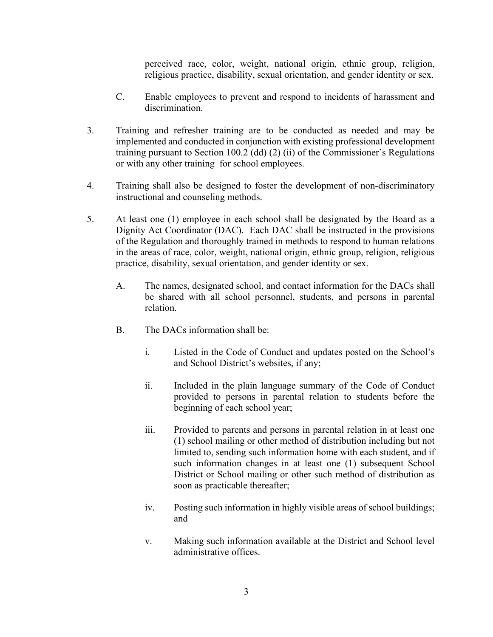perceived race, color, weight, national origin, ethnic group, religion, religious practice, disability, sexual orientation, and gender identity or sex.

- C. Enable employees to prevent and respond to incidents of harassment and discrimination.
- 3. Training and refresher training are to be conducted as needed and may be implemented and conducted in conjunction with existing professional development training pursuant to Section 100.2 (dd) (2) (ii) of the Commissioner's Regulations or with any other training for school employees.
- 4. Training shall also be designed to foster the development of non-discriminatory instructional and counseling methods.
- 5. At least one (1) employee in each school shall be designated by the Board as a Dignity Act Coordinator (DAC). Each DAC shall be instructed in the provisions of the Regulation and thoroughly trained in methods to respond to human relations in the areas of race, color, weight, national origin, ethnic group, religion, religious practice, disability, sexual orientation, and gender identity or sex.
	- A. The names, designated school, and contact information for the DACs shall be shared with all school personnel, students, and persons in parental relation.
	- B. The DACs information shall be:
		- i. Listed in the Code of Conduct and updates posted on the School's and School District's websites, if any;
		- ii. Included in the plain language summary of the Code of Conduct provided to persons in parental relation to students before the beginning of each school year;
		- iii. Provided to parents and persons in parental relation in at least one (1) school mailing or other method of distribution including but not limited to, sending such information home with each student, and if such information changes in at least one (1) subsequent School District or School mailing or other such method of distribution as soon as practicable thereafter;
		- iv. Posting such information in highly visible areas of school buildings; and
		- v. Making such information available at the District and School level administrative offices.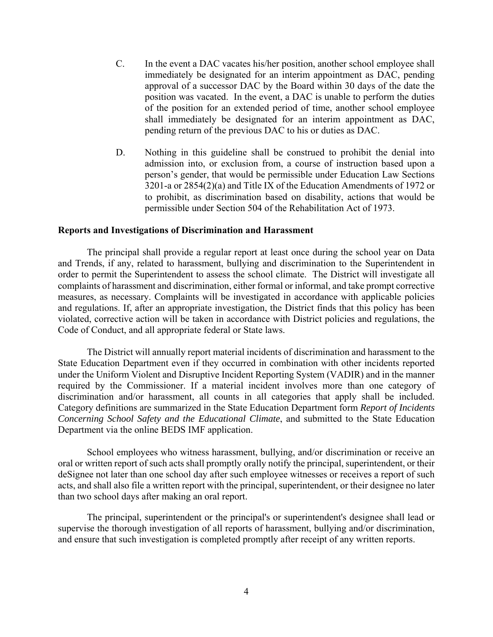- C. In the event a DAC vacates his/her position, another school employee shall immediately be designated for an interim appointment as DAC, pending approval of a successor DAC by the Board within 30 days of the date the position was vacated. In the event, a DAC is unable to perform the duties of the position for an extended period of time, another school employee shall immediately be designated for an interim appointment as DAC, pending return of the previous DAC to his or duties as DAC.
- D. Nothing in this guideline shall be construed to prohibit the denial into admission into, or exclusion from, a course of instruction based upon a person's gender, that would be permissible under Education Law Sections 3201-a or 2854(2)(a) and Title IX of the Education Amendments of 1972 or to prohibit, as discrimination based on disability, actions that would be permissible under Section 504 of the Rehabilitation Act of 1973.

#### **Reports and Investigations of Discrimination and Harassment**

The principal shall provide a regular report at least once during the school year on Data and Trends, if any, related to harassment, bullying and discrimination to the Superintendent in order to permit the Superintendent to assess the school climate. The District will investigate all complaints of harassment and discrimination, either formal or informal, and take prompt corrective measures, as necessary. Complaints will be investigated in accordance with applicable policies and regulations. If, after an appropriate investigation, the District finds that this policy has been violated, corrective action will be taken in accordance with District policies and regulations, the Code of Conduct, and all appropriate federal or State laws.

The District will annually report material incidents of discrimination and harassment to the State Education Department even if they occurred in combination with other incidents reported under the Uniform Violent and Disruptive Incident Reporting System (VADIR) and in the manner required by the Commissioner. If a material incident involves more than one category of discrimination and/or harassment, all counts in all categories that apply shall be included. Category definitions are summarized in the State Education Department form *Report of Incidents Concerning School Safety and the Educational Climate*, and submitted to the State Education Department via the online BEDS IMF application.

 School employees who witness harassment, bullying, and/or discrimination or receive an oral or written report of such acts shall promptly orally notify the principal, superintendent, or their deSignee not later than one school day after such employee witnesses or receives a report of such acts, and shall also file a written report with the principal, superintendent, or their designee no later than two school days after making an oral report.

 The principal, superintendent or the principal's or superintendent's designee shall lead or supervise the thorough investigation of all reports of harassment, bullying and/or discrimination, and ensure that such investigation is completed promptly after receipt of any written reports.